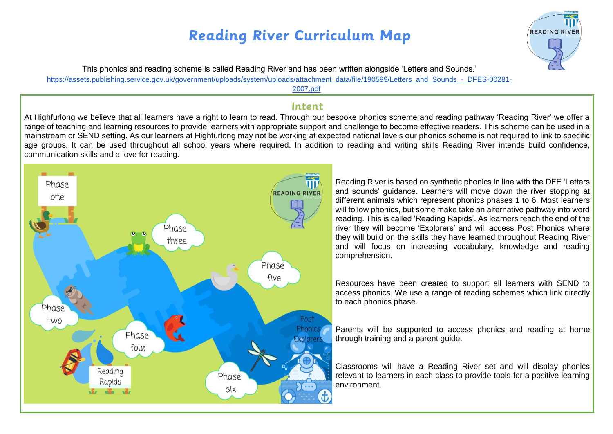

This phonics and reading scheme is called Reading River and has been written alongside 'Letters and Sounds.'

[https://assets.publishing.service.gov.uk/government/uploads/system/uploads/attachment\\_data/file/190599/Letters\\_and\\_Sounds\\_-\\_DFES-00281-](https://assets.publishing.service.gov.uk/government/uploads/system/uploads/attachment_data/file/190599/Letters_and_Sounds_-_DFES-00281-2007.pdf)

[2007.pdf](https://assets.publishing.service.gov.uk/government/uploads/system/uploads/attachment_data/file/190599/Letters_and_Sounds_-_DFES-00281-2007.pdf)

#### Intent

At Highfurlong we believe that all learners have a right to learn to read. Through our bespoke phonics scheme and reading pathway 'Reading River' we offer a range of teaching and learning resources to provide learners with appropriate support and challenge to become effective readers. This scheme can be used in a mainstream or SEND setting. As our learners at Highfurlong may not be working at expected national levels our phonics scheme is not required to link to specific age groups. It can be used throughout all school years where required. In addition to reading and writing skills Reading River intends build confidence, communication skills and a love for reading.



Reading River is based on synthetic phonics in line with the DFE 'Letters and sounds' guidance. Learners will move down the river stopping at different animals which represent phonics phases 1 to 6. Most learners will follow phonics, but some make take an alternative pathway into word reading. This is called 'Reading Rapids'. As learners reach the end of the river they will become 'Explorers' and will access Post Phonics where they will build on the skills they have learned throughout Reading River and will focus on increasing vocabulary, knowledge and reading comprehension.

Resources have been created to support all learners with SEND to access phonics. We use a range of reading schemes which link directly to each phonics phase.

Parents will be supported to access phonics and reading at home through training and a parent guide.

Classrooms will have a Reading River set and will display phonics relevant to learners in each class to provide tools for a positive learning environment.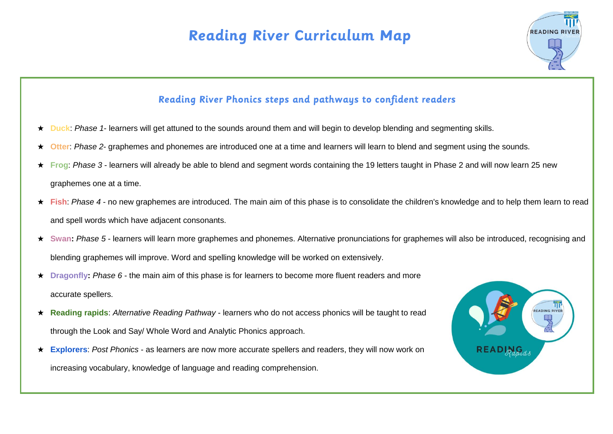

#### Reading River Phonics steps and pathways to confident readers

- ★ **Duck**: *Phase 1* learners will get attuned to the sounds around them and will begin to develop blending and segmenting skills.
- ★ **Otter**: *Phase 2* graphemes and phonemes are introduced one at a time and learners will learn to blend and segment using the sounds.
- ★ **Frog**: *Phase 3* learners will already be able to blend and segment words containing the 19 letters taught in Phase 2 and will now learn 25 new graphemes one at a time.
- **★ Fish**: Phase 4 no new graphemes are introduced. The main aim of this phase is to consolidate the children's knowledge and to help them learn to read and spell words which have adjacent consonants.
- ★ **Swan:** *Phase 5* learners will learn more graphemes and phonemes. Alternative pronunciations for graphemes will also be introduced, recognising and blending graphemes will improve. Word and spelling knowledge will be worked on extensively.
- ★ **Dragonfly:** *Phase 6* the main aim of this phase is for learners to become more fluent readers and more accurate spellers.
- ★ **Reading rapids**: *Alternative Reading Pathway* learners who do not access phonics will be taught to read through the Look and Say/ Whole Word and Analytic Phonics approach.
- ★ **Explorers**: *Post Phonics* as learners are now more accurate spellers and readers, they will now work on increasing vocabulary, knowledge of language and reading comprehension.

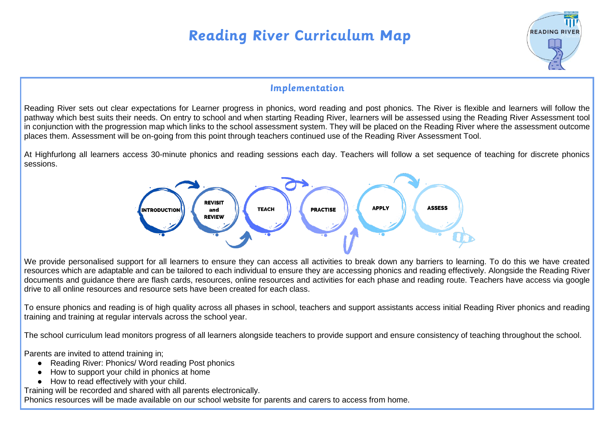

#### Implementation

Reading River sets out clear expectations for Learner progress in phonics, word reading and post phonics. The River is flexible and learners will follow the pathway which best suits their needs. On entry to school and when starting Reading River, learners will be assessed using the Reading River Assessment tool in conjunction with the progression map which links to the school assessment system. They will be placed on the Reading River where the assessment outcome places them. Assessment will be on-going from this point through teachers continued use of the Reading River Assessment Tool.

At Highfurlong all learners access 30-minute phonics and reading sessions each day. Teachers will follow a set sequence of teaching for discrete phonics sessions.



We provide personalised support for all learners to ensure they can access all activities to break down any barriers to learning. To do this we have created resources which are adaptable and can be tailored to each individual to ensure they are accessing phonics and reading effectively. Alongside the Reading River documents and guidance there are flash cards, resources, online resources and activities for each phase and reading route. Teachers have access via google drive to all online resources and resource sets have been created for each class.

To ensure phonics and reading is of high quality across all phases in school, teachers and support assistants access initial Reading River phonics and reading training and training at regular intervals across the school year.

The school curriculum lead monitors progress of all learners alongside teachers to provide support and ensure consistency of teaching throughout the school.

Parents are invited to attend training in;

- Reading River: Phonics/ Word reading Post phonics
- How to support your child in phonics at home
- How to read effectively with your child.

Training will be recorded and shared with all parents electronically.

Phonics resources will be made available on our school website for parents and carers to access from home.